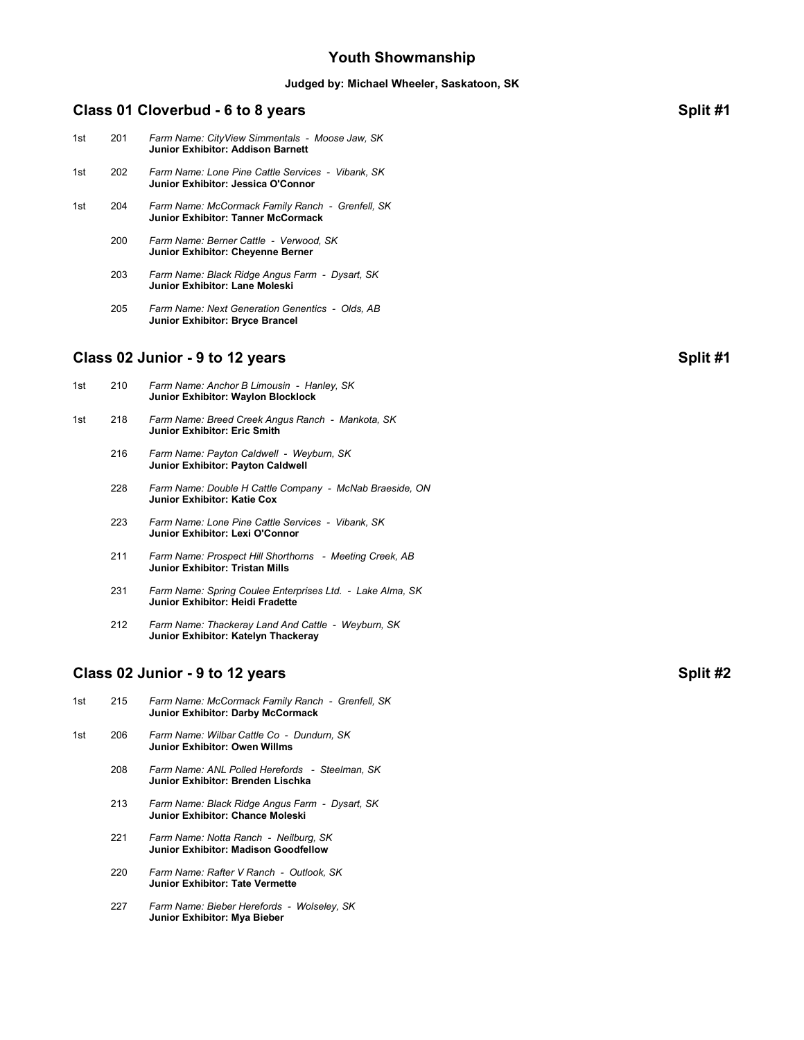## **Youth Showmanship**

# **Judged by: Michael Wheeler, Saskatoon, SK Class 01 Cloverbud - 6 to 8 years Split #1** 1st 201 *Farm Name: CityView Simmentals - Moose Jaw, SK* **Junior Exhibitor: Addison Barnett** 1st 202 *Farm Name: Lone Pine Cattle Services - Vibank, SK* **Junior Exhibitor: Jessica O'Connor** 1st 204 *Farm Name: McCormack Family Ranch - Grenfell, SK* **Junior Exhibitor: Tanner McCormack** 200 *Farm Name: Berner Cattle - Verwood, SK* **Junior Exhibitor: Cheyenne Berner** 203 *Farm Name: Black Ridge Angus Farm - Dysart, SK* **Junior Exhibitor: Lane Moleski** 205 *Farm Name: Next Generation Genentics - Olds, AB* **Junior Exhibitor: Bryce Brancel Class 02 Junior - 9 to 12 years Split #1** 1st 210 *Farm Name: Anchor B Limousin - Hanley, SK* **Junior Exhibitor: Waylon Blocklock** 1st 218 *Farm Name: Breed Creek Angus Ranch - Mankota, SK* **Junior Exhibitor: Eric Smith** 216 *Farm Name: Payton Caldwell - Weyburn, SK* **Junior Exhibitor: Payton Caldwell** 228 *Farm Name: Double H Cattle Company - McNab Braeside, ON* **Junior Exhibitor: Katie Cox** 223 *Farm Name: Lone Pine Cattle Services - Vibank, SK* **Junior Exhibitor: Lexi O'Connor**

- 211 *Farm Name: Prospect Hill Shorthorns Meeting Creek, AB* **Junior Exhibitor: Tristan Mills**
- 231 *Farm Name: Spring Coulee Enterprises Ltd. Lake Alma, SK* **Junior Exhibitor: Heidi Fradette**
- 212 *Farm Name: Thackeray Land And Cattle Weyburn, SK* **Junior Exhibitor: Katelyn Thackeray**

## **Class 02 Junior - 9 to 12 years Split #2**

- 1st 215 *Farm Name: McCormack Family Ranch Grenfell, SK* **Junior Exhibitor: Darby McCormack**
- 1st 206 *Farm Name: Wilbar Cattle Co Dundurn, SK* **Junior Exhibitor: Owen Willms**
	- 208 *Farm Name: ANL Polled Herefords Steelman, SK* **Junior Exhibitor: Brenden Lischka**
	- 213 *Farm Name: Black Ridge Angus Farm Dysart, SK* **Junior Exhibitor: Chance Moleski**
	- 221 *Farm Name: Notta Ranch Neilburg, SK* **Junior Exhibitor: Madison Goodfellow**
	- 220 *Farm Name: Rafter V Ranch Outlook, SK* **Junior Exhibitor: Tate Vermette**
	- 227 *Farm Name: Bieber Herefords Wolseley, SK* **Junior Exhibitor: Mya Bieber**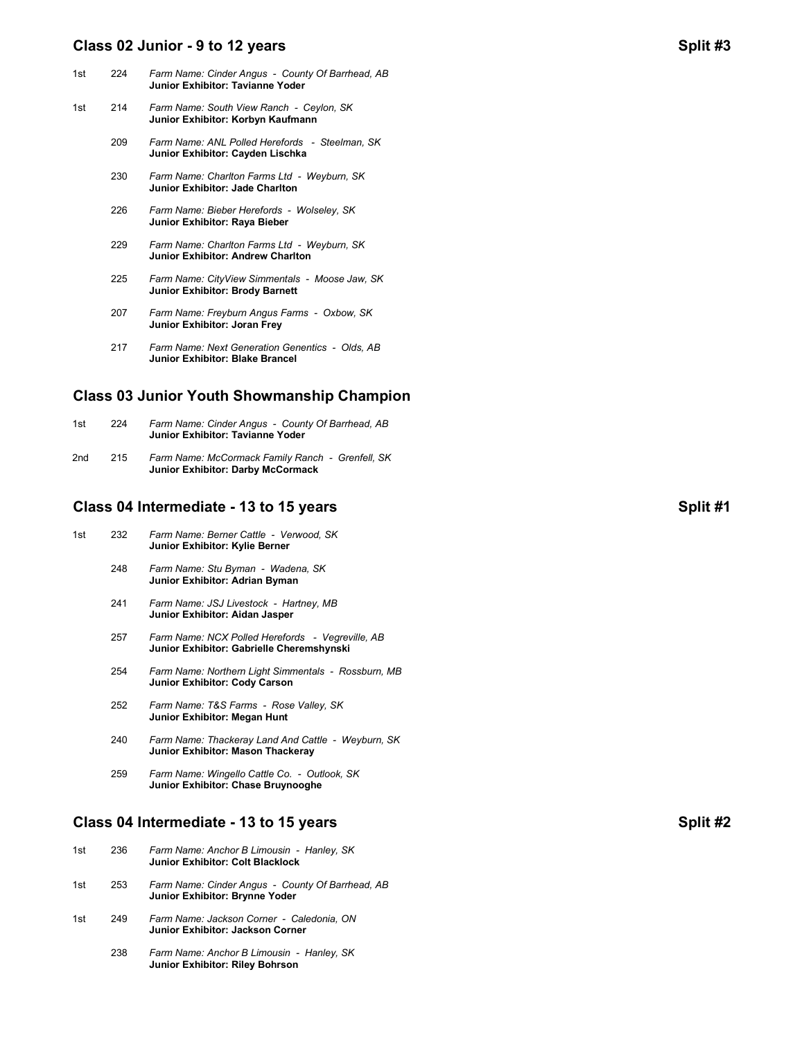### **Class 02 Junior - 9 to 12 years Split #3**

| 1st | 224 | Farm Name: Cinder Angus - County Of Barrhead, AB<br>Junior Exhibitor: Tavianne Yoder     |
|-----|-----|------------------------------------------------------------------------------------------|
| 1st | 214 | Farm Name: South View Ranch - Ceylon, SK<br>Junior Exhibitor: Korbyn Kaufmann            |
|     | 209 | Farm Name: ANL Polled Herefords - Steelman, SK<br>Junior Exhibitor: Cayden Lischka       |
|     | 230 | Farm Name: Charlton Farms Ltd - Weyburn, SK<br>Junior Exhibitor: Jade Charlton           |
|     | 226 | Farm Name: Bieber Herefords - Wolseley, SK<br>Junior Exhibitor: Raya Bieber              |
|     | 229 | Farm Name: Charlton Farms Ltd - Weyburn, SK<br>Junior Exhibitor: Andrew Charlton         |
|     | 225 | Farm Name: CityView Simmentals - Moose Jaw, SK<br><b>Junior Exhibitor: Brody Barnett</b> |
|     | 207 | Farm Name: Freyburn Angus Farms - Oxbow, SK<br>Junior Exhibitor: Joran Frey              |

 217 *Farm Name: Next Generation Genentics - Olds, AB* **Junior Exhibitor: Blake Brancel**

### **Class 03 Junior Youth Showmanship Champion**

| 1st | 224 | Farm Name: Cinder Angus - County Of Barrhead, AB<br>Junior Exhibitor: Tavianne Yoder         |
|-----|-----|----------------------------------------------------------------------------------------------|
| 2nd | 215 | Farm Name: McCormack Family Ranch - Grenfell, SK<br><b>Junior Exhibitor: Darby McCormack</b> |

## **Class 04 Intermediate - 13 to 15 years Split #1**

- 1st 232 *Farm Name: Berner Cattle Verwood, SK* **Junior Exhibitor: Kylie Berner**
	- 248 *Farm Name: Stu Byman Wadena, SK* **Junior Exhibitor: Adrian Byman**
	- 241 *Farm Name: JSJ Livestock Hartney, MB* **Junior Exhibitor: Aidan Jasper**
	- 257 *Farm Name: NCX Polled Herefords Vegreville, AB* **Junior Exhibitor: Gabrielle Cheremshynski**
	- 254 *Farm Name: Northern Light Simmentals Rossburn, MB* **Junior Exhibitor: Cody Carson**
	- 252 *Farm Name: T&S Farms Rose Valley, SK* **Junior Exhibitor: Megan Hunt**
	- 240 *Farm Name: Thackeray Land And Cattle Weyburn, SK* **Junior Exhibitor: Mason Thackeray**
	- 259 *Farm Name: Wingello Cattle Co. Outlook, SK* **Junior Exhibitor: Chase Bruynooghe**

## **Class 04 Intermediate - 13 to 15 years Split #2**

| 1st | 236 | Farm Name: Anchor B Limousin - Hanley, SK<br>Junior Exhibitor: Colt Blacklock      |
|-----|-----|------------------------------------------------------------------------------------|
| 1st | 253 | Farm Name: Cinder Angus - County Of Barrhead, AB<br>Junior Exhibitor: Brynne Yoder |
| 1st | 249 | Farm Name: Jackson Corner - Caledonia, ON<br>Junior Exhibitor: Jackson Corner      |
|     | 238 | Farm Name: Anchor B Limousin - Hanley, SK                                          |

**Junior Exhibitor: Riley Bohrson**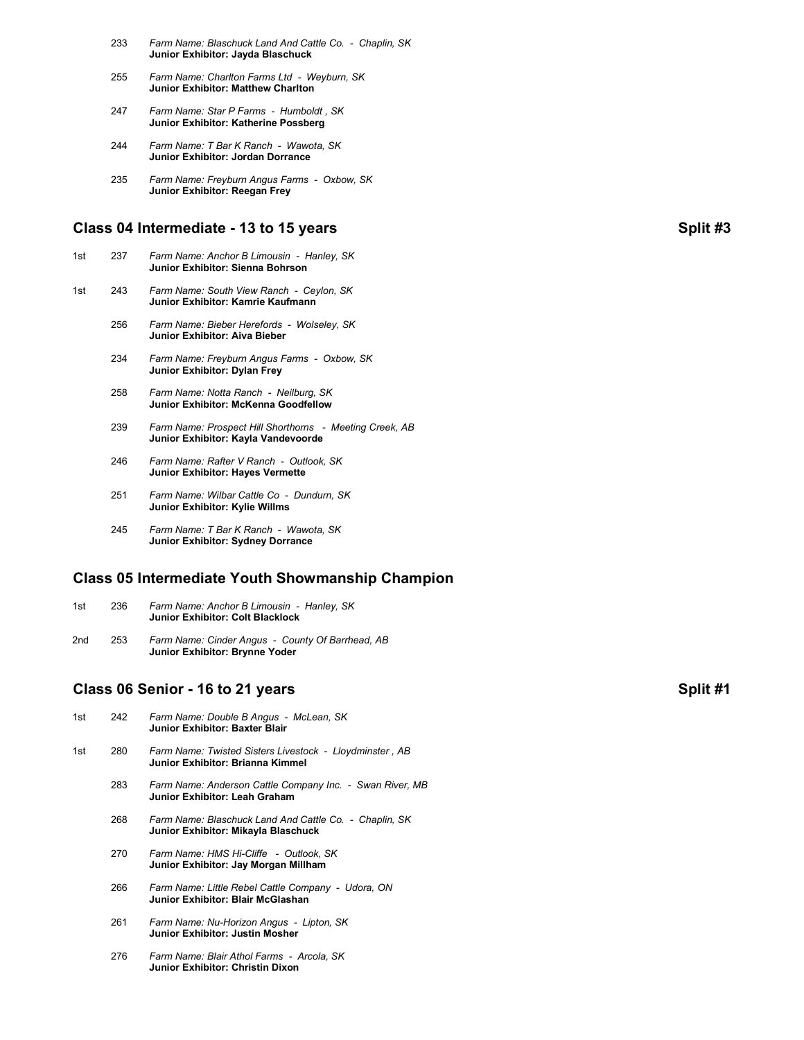- 233 *Farm Name: Blaschuck Land And Cattle Co. Chaplin, SK* **Junior Exhibitor: Jayda Blaschuck**
- 255 *Farm Name: Charlton Farms Ltd Weyburn, SK* **Junior Exhibitor: Matthew Charlton**
- 247 *Farm Name: Star P Farms Humboldt , SK* **Junior Exhibitor: Katherine Possberg**
- 244 *Farm Name: T Bar K Ranch Wawota, SK* **Junior Exhibitor: Jordan Dorrance**
- 235 *Farm Name: Freyburn Angus Farms Oxbow, SK* **Junior Exhibitor: Reegan Frey**

# **Class 04 Intermediate - 13 to 15 years Split #3**

| 1st | 237 | Farm Name: Anchor B Limousin - Hanley, SK<br>Junior Exhibitor: Sienna Bohrson |
|-----|-----|-------------------------------------------------------------------------------|
| 1st | 243 | Farm Name: South View Ranch - Ceylon, SK<br>Junior Exhibitor: Kamrie Kaufmann |
|     | 256 | Farm Name: Bieber Herefords - Wolseley, SK<br>Junior Exhibitor: Aiva Bieber   |
|     | 234 | Farm Name: Freyburn Angus Farms - Oxbow, SK<br>Junior Exhibitor: Dylan Frey   |
|     | 258 | Farm Name: Notta Ranch - Neilburg, SK<br>Junior Exhibitor: McKenna Goodfellow |

- 239 *Farm Name: Prospect Hill Shorthorns Meeting Creek, AB* **Junior Exhibitor: Kayla Vandevoorde**
- 246 *Farm Name: Rafter V Ranch Outlook, SK* **Junior Exhibitor: Hayes Vermette**
- 251 *Farm Name: Wilbar Cattle Co Dundurn, SK* **Junior Exhibitor: Kylie Willms**
- 245 *Farm Name: T Bar K Ranch Wawota, SK* **Junior Exhibitor: Sydney Dorrance**

## **Class 05 Intermediate Youth Showmanship Champion**

| 1st | 236 | Farm Name: Anchor B Limousin - Hanley, SK |  |
|-----|-----|-------------------------------------------|--|
|     |     | Junior Exhibitor: Colt Blacklock          |  |

2nd 253 *Farm Name: Cinder Angus - County Of Barrhead, AB* **Junior Exhibitor: Brynne Yoder**

## **Class 06 Senior - 16 to 21 years Split #1**

| 1st | 242 | Farm Name: Double B Angus - McLean, SK<br>Junior Exhibitor: Baxter Blair                      |
|-----|-----|-----------------------------------------------------------------------------------------------|
| 1st | 280 | Farm Name: Twisted Sisters Livestock - Lloydminster, AB<br>Junior Exhibitor: Brianna Kimmel   |
|     | 283 | Farm Name: Anderson Cattle Company Inc. - Swan River, MB<br>Junior Exhibitor: Leah Graham     |
|     | 268 | Farm Name: Blaschuck Land And Cattle Co. - Chaplin, SK<br>Junior Exhibitor: Mikayla Blaschuck |
|     | 270 | Farm Name: HMS Hi-Cliffe - Outlook. SK<br>Junior Exhibitor: Jay Morgan Millham                |
|     | 266 | Farm Name: Little Rebel Cattle Company - Udora, ON<br>Junior Exhibitor: Blair McGlashan       |
|     | 261 | Farm Name: Nu-Horizon Angus - Lipton, SK<br>Junior Exhibitor: Justin Mosher                   |

 276 *Farm Name: Blair Athol Farms - Arcola, SK* **Junior Exhibitor: Christin Dixon**